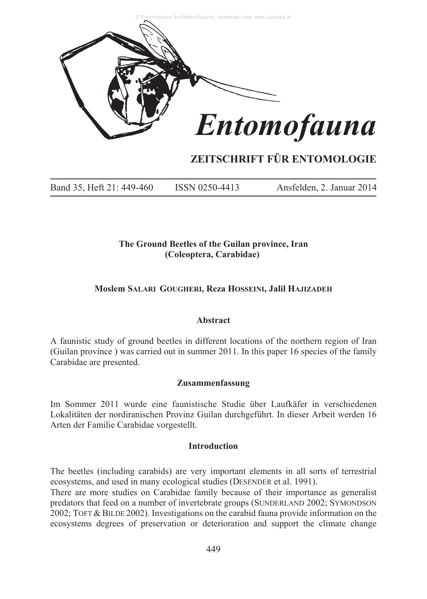

# **ZEITSCHRIFT FÜR ENTOMOLOGIE**

Band 35, Heft 21: 449-460 ISSN 0250-4413 Ansfelden, 2. Januar 2014

# **The Ground Beetles of the Guilan province, Iran (Coleoptera, Carabidae)**

# **Moslem SALARI GOUGHERI, Reza HOSSEINI, Jalil HAJIZADEH**

# **Abstract**

A faunistic study of ground beetles in different locations of the northern region of Iran (Guilan province ) was carried out in summer 2011. In this paper 16 species of the family Carabidae are presented.

# **Zusammenfassung**

Im Sommer 2011 wurde eine faunistische Studie über Laufkäfer in verschiedenen Lokalitäten der nordiranischen Provinz Guilan durchgeführt. In dieser Arbeit werden 16 Arten der Familie Carabidae vorgestellt.

# **Introduction**

The beetles (including carabids) are very important elements in all sorts of terrestrial ecosystems, and used in many ecological studies (DESENDER et al. 1991).

There are more studies on Carabidae family because of their importance as generalist predators that feed on a number of invertebrate groups (SUNDERLAND 2002; SYMONDSON 2002; TOFT & BILDE 2002). Investigations on the carabid fauna provide information on the ecosystems degrees of preservation or deterioration and support the climate change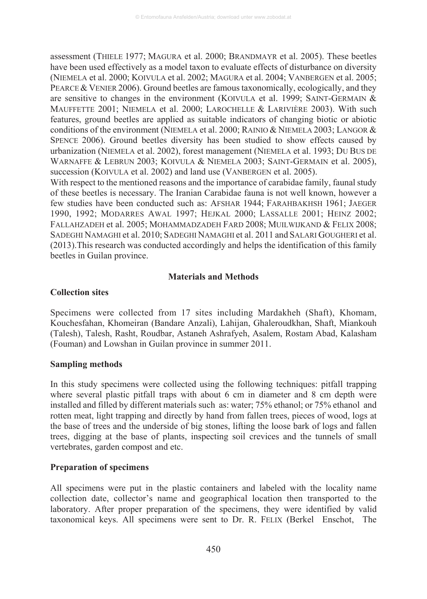assessment (THIELE 1977; MAGURA et al. 2000; BRANDMAYR et al. 2005). These beetles have been used effectively as a model taxon to evaluate effects of disturbance on diversity (NIEMELA et al. 2000; KOIVULA et al. 2002; MAGURA et al. 2004; VANBERGEN et al. 2005; PEARCE  $&$  VENIER 2006). Ground beetles are famous taxonomically, ecologically, and they are sensitive to changes in the environment (KOIVULA et al. 1999; SAINT-GERMAIN & MAUFFETTE 2001; NIEMELA et al. 2000; LAROCHELLE & LARIVIÈRE 2003). With such features, ground beetles are applied as suitable indicators of changing biotic or abiotic conditions of the environment (NIEMELA et al. 2000; RAINIO & NIEMELA 2003; LANGOR & SPENCE 2006). Ground beetles diversity has been studied to show effects caused by urbanization (NIEMELA et al. 2002), forest management (NIEMELA et al. 1993; DU BUS DE WARNAFFE & LEBRUN 2003; KOIVULA & NIEMELA 2003; SAINT-GERMAIN et al. 2005), succession (KOIVULA et al. 2002) and land use (VANBERGEN et al. 2005).

With respect to the mentioned reasons and the importance of carabidae family, faunal study of these beetles is necessary. The Iranian Carabidae fauna is not well known, however a few studies have been conducted such as: AFSHAR 1944; FARAHBAKHSH 1961; JAEGER 1990, 1992; MODARRES AWAL 1997; HEJKAL 2000; LASSALLE 2001; HEINZ 2002; FALLAHZADEH et al. 2005: MOHAMMADZADEH FARD 2008; MUILWIJKAND & FELIX 2008; SADEGHI NAMAGHI et al. 2010; SADEGHI NAMAGHI et al. 2011 and SALARI GOUGHERI et al. (2013).This research was conducted accordingly and helps the identification of this family beetles in Guilan province.

#### **Materials and Methods**

#### **Collection sites**

Specimens were collected from 17 sites including Mardakheh (Shaft), Khomam, Kouchesfahan, Khomeiran (Bandare Anzali), Lahijan, Ghaleroudkhan, Shaft, Miankouh (Talesh), Talesh, Rasht, Roudbar, Astaneh Ashrafyeh, Asalem, Rostam Abad, Kalasham (Fouman) and Lowshan in Guilan province in summer 2011.

# **Sampling methods**

In this study specimens were collected using the following techniques: pitfall trapping where several plastic pitfall traps with about 6 cm in diameter and 8 cm depth were installed and filled by different materials such as: water; 75% ethanol; or 75% ethanol and rotten meat, light trapping and directly by hand from fallen trees, pieces of wood, logs at the base of trees and the underside of big stones, lifting the loose bark of logs and fallen trees, digging at the base of plants, inspecting soil crevices and the tunnels of small vertebrates, garden compost and etc.

#### **Preparation of specimens**

All specimens were put in the plastic containers and labeled with the locality name collection date, collector's name and geographical location then transported to the laboratory. After proper preparation of the specimens, they were identified by valid taxonomical keys. All specimens were sent to Dr. R. FELIX (Berkel Enschot, The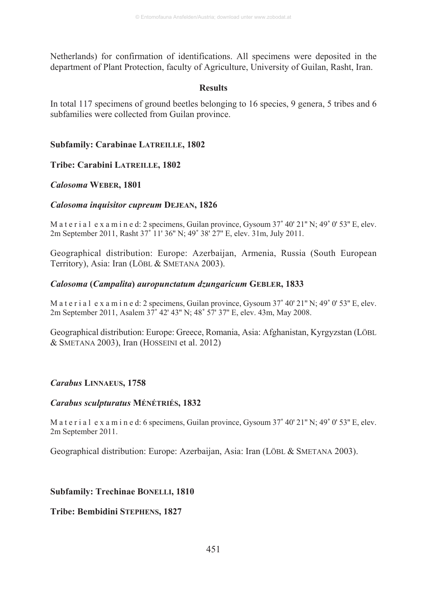Netherlands) for confirmation of identifications. All specimens were deposited in the department of Plant Protection, faculty of Agriculture, University of Guilan, Rasht, Iran.

#### **Results**

In total 117 specimens of ground beetles belonging to 16 species, 9 genera, 5 tribes and 6 subfamilies were collected from Guilan province.

# **Subfamily: Carabinae LATREILLE, 1802**

#### **Tribe: Carabini LATREILLE, 1802**

#### *Calosoma* **WEBER, 1801**

#### *Calosoma inquisitor cupreum* **DEJEAN, 1826**

M a t e r i a l e x a m i n e d: 2 specimens, Guilan province, Gysoum  $37^{\circ}$  40' 21" N; 49° 0' 53" E, elev. 2m September 2011, Rasht 37° 11′ 36″ N; 49° 38′ 27″ E, elev. 31m, July 2011.

Geographical distribution: Europe: Azerbaijan, Armenia, Russia (South European Territory), Asia: Iran (LÖBL & SMETANA 2003).

#### *Calosoma* **(***Campalita***)** *auropunctatum dzungaricum* **GEBLER, 1833**

M a t e r i a l e x a m i n e d: 2 specimens, Guilan province, Gysoum  $37^{\circ}$  40' 21" N; 49° 0' 53" E, elev. 2m September 2011, Asalem 37° 42' 43" N; 48° 57' 37" E, elev. 43m, May 2008.

Geographical distribution: Europe: Greece, Romania, Asia: Afghanistan, Kyrgyzstan (LÖBL & SMETANA 2003), Iran (HOSSEINI et al. 2012)

# *Carabus* **LINNAEUS, 1758**

#### *Carabus sculpturatus* **MÉNÉTRIÉS, 1832**

M a t e r i a l e x a m i n e d: 6 specimens, Guilan province, Gysoum  $37^{\circ}$  40' 21" N; 49° 0' 53" E, elev. 2m September 2011.

Geographical distribution: Europe: Azerbaijan, Asia: Iran (LÖBL & SMETANA 2003).

#### **Subfamily: Trechinae BONELLI, 1810**

#### **Tribe: Bembidini STEPHENS, 1827**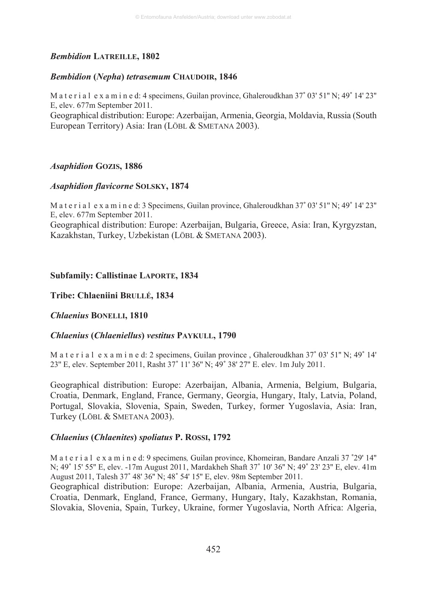# *Bembidion* **LATREILLE, 1802**

# *Bembidion* **(***Nepha***)** *tetrasemum* **CHAUDOIR, 1846**

M a t e r i a l e x a m i n e d: 4 specimens, Guilan province, Ghaleroudkhan 37° 03' 51" N: 49° 14' 23" E, elev. 677m September 2011.

Geographical distribution: Europe: Azerbaijan, Armenia, Georgia, Moldavia, Russia (South European Territory) Asia: Iran (LÖBL & SMETANA 2003).

# *Asaphidion* **GOZIS, 1886**

# *Asaphidion flavicorne* **SOLSKY, 1874**

M a t e r i a l e x a m i n e d: 3 Specimens, Guilan province, Ghaleroudkhan  $37°03'51''$  N;  $49°14'23''$ E, elev. 677m September 2011.

Geographical distribution: Europe: Azerbaijan, Bulgaria, Greece, Asia: Iran, Kyrgyzstan, Kazakhstan, Turkey, Uzbekistan (LÖBL & SMETANA 2003).

# **Subfamily: Callistinae LAPORTE, 1834**

# **Tribe: Chlaeniini BRULLÉ, 1834**

# *Chlaenius* **BONELLI, 1810**

# *Chlaenius* **(***Chlaeniellus***)** *vestitus* **PAYKULL, 1790**

M a t e r i a l e x a m i n e d: 2 specimens, Guilan province, Ghaleroudkhan  $37^{\circ}$  03' 51" N; 49° 14' 23'' E, elev. September 2011, Rasht 37 11' 36'' N; 49 38' 27'' E. elev. 1m July 2011.

Geographical distribution: Europe: Azerbaijan, Albania, Armenia, Belgium, Bulgaria, Croatia, Denmark, England, France, Germany, Georgia, Hungary, Italy, Latvia, Poland, Portugal, Slovakia, Slovenia, Spain, Sweden, Turkey, former Yugoslavia, Asia: Iran, Turkey (LÖBL & SMETANA 2003).

# *Chlaenius* **(***Chlaenites***)** *spoliatus* **P. ROSSI, 1792**

M a t e r i a l e x a m i n e d: 9 specimens*,* Guilan province, Khomeiran, Bandare Anzali 37 29' 14'' N; 49 15' 55'' E, elev. -17m August 2011, Mardakheh Shaft 37 10' 36'' N; 49 23' 23'' E, elev. 41m August 2011, Talesh 37° 48′ 36" N; 48° 54′ 15" E, elev. 98m September 2011.

Geographical distribution: Europe: Azerbaijan, Albania, Armenia, Austria, Bulgaria, Croatia, Denmark, England, France, Germany, Hungary, Italy, Kazakhstan, Romania, Slovakia, Slovenia, Spain, Turkey, Ukraine, former Yugoslavia, North Africa: Algeria,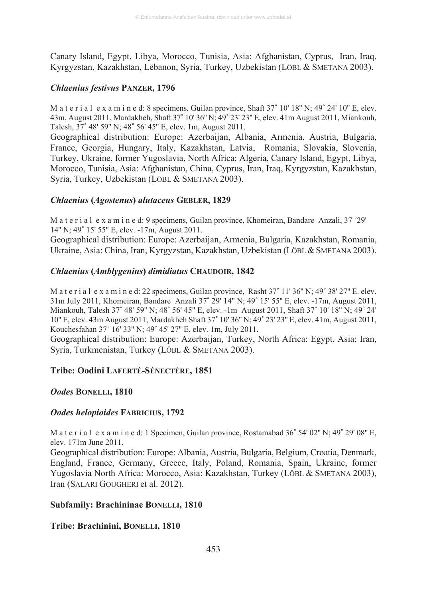Canary Island, Egypt, Libya, Morocco, Tunisia, Asia: Afghanistan, Cyprus, Iran, Iraq, Kyrgyzstan, Kazakhstan, Lebanon, Syria, Turkey, Uzbekistan (LÖBL & SMETANA 2003).

# *Chlaenius festivus* **PANZER, 1796**

M a t e r i a l e x a m i n e d: 8 specimens, Guilan province, Shaft 37° 10' 18" N; 49° 24' 10" E, elev. 43m, August 2011, Mardakheh, Shaft 37 10' 36'' N; 49 23' 23'' E, elev. 41m August 2011, Miankouh, Talesh,  $37^{\circ}$  48' 59" N; 48° 56' 45" E, elev. 1m, August 2011.

Geographical distribution: Europe: Azerbaijan, Albania, Armenia, Austria, Bulgaria, France, Georgia, Hungary, Italy, Kazakhstan, Latvia, Romania, Slovakia, Slovenia, Turkey, Ukraine, former Yugoslavia, North Africa: Algeria, Canary Island, Egypt, Libya, Morocco, Tunisia, Asia: Afghanistan, China, Cyprus, Iran, Iraq, Kyrgyzstan, Kazakhstan, Syria, Turkey, Uzbekistan (LÖBL & SMETANA 2003).

# *Chlaenius* **(***Agostenus***)** *alutaceus* **GEBLER, 1829**

M a t e r i a l e x a m i n e d: 9 specimens*,* Guilan province, Khomeiran, Bandare Anzali, 37 29' 14'' N; 49 15' 55'' E, elev. -17m, August 2011.

Geographical distribution: Europe: Azerbaijan, Armenia, Bulgaria, Kazakhstan, Romania, Ukraine, Asia: China, Iran, Kyrgyzstan, Kazakhstan, Uzbekistan (LÖBL & SMETANA 2003).

# *Chlaenius* **(***Amblygenius***)** *dimidiatus* **CHAUDOIR, 1842**

M a t e r i a l e x a m i n e d: 22 specimens, Guilan province, Rasht 37° 11' 36" N; 49° 38' 27" E. elev. 31m July 2011, Khomeiran, Bandare Anzali 37 29' 14'' N; 49 15' 55'' E, elev. -17m, August 2011, Miankouh, Talesh 37° 48' 59" N; 48° 56' 45" E, elev. -1m August 2011, Shaft 37° 10' 18" N; 49° 24' 10'' E, elev. 43m August 2011, Mardakheh Shaft 37 10' 36'' N; 49 23' 23'' E, elev. 41m, August 2011, Kouchesfahan 37° 16' 33" N; 49° 45' 27" E, elev. 1m, July 2011.

Geographical distribution: Europe: Azerbaijan, Turkey, North Africa: Egypt, Asia: Iran, Syria, Turkmenistan, Turkey (LÖBL & SMETANA 2003).

# **Tribe: Oodini LAFERTÉ-SÉNECTÈRE, 1851**

# *Oodes* **BONELLI, 1810**

# *Oodes helopioides* **FABRICIUS, 1792**

M a t e r i a l e x a m i n e d: 1 Specimen, Guilan province, Rostamabad 36° 54' 02" N; 49° 29' 08" E. elev. 171m June 2011.

Geographical distribution: Europe: Albania, Austria, Bulgaria, Belgium, Croatia, Denmark, England, France, Germany, Greece, Italy, Poland, Romania, Spain, Ukraine, former Yugoslavia North Africa: Morocco, Asia: Kazakhstan, Turkey (LÖBL & SMETANA 2003), Iran (SALARI GOUGHERI et al. 2012).

#### **Subfamily: Brachininae BONELLI, 1810**

# **Tribe: Brachinini, BONELLI, 1810**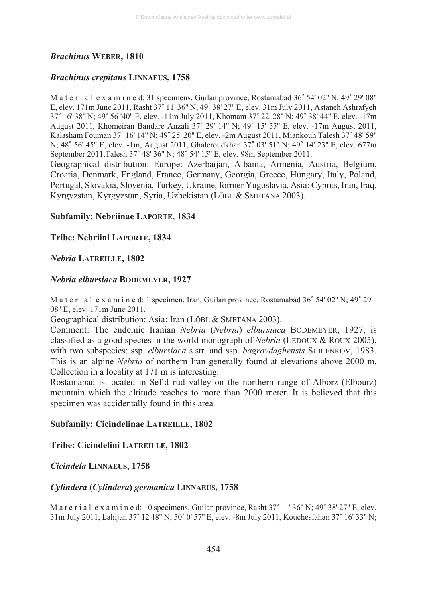# *Brachinus* **WEBER, 1810**

# *Brachinus crepitans* **LINNAEUS, 1758**

M a t e r i a l e x a m i n e d: 31 specimens, Guilan province, Rostamabad 36° 54' 02" N; 49° 29' 08" E, elev. 171m June 2011, Rasht 37° 11' 36" N; 49° 38' 27" E, elev. 31m July 2011, Astaneh Ashrafyeh 37 16' 38'' N; 49 56 '40'' E, elev. -11m July 2011, Khomam 37 22' 28'' N; 49 38' 44'' E, elev. -17m August 2011, Khomeiran Bandare Anzali 37° 29' 14" N; 49° 15' 55" E, elev. -17m August 2011, Kalasham Fouman 37° 16' 14" N; 49° 25' 20" E, elev. -2m August 2011, Miankouh Talesh 37° 48' 59" N; 48° 56' 45" E, elev. -1m, August 2011, Ghaleroudkhan  $37^{\circ}$  03' 51" N; 49° 14' 23" E, elev. 677m September 2011, Talesh 37° 48′ 36″ N; 48° 54′ 15″ E, elev. 98m September 2011.

Geographical distribution: Europe: Azerbaijan, Albania, Armenia, Austria, Belgium, Croatia, Denmark, England, France, Germany, Georgia, Greece, Hungary, Italy, Poland, Portugal, Slovakia, Slovenia, Turkey, Ukraine, former Yugoslavia, Asia: Cyprus, Iran, Iraq, Kyrgyzstan, Kyrgyzstan, Syria, Uzbekistan (LÖBL & SMETANA 2003).

# **Subfamily: Nebriinae LAPORTE, 1834**

# **Tribe: Nebriini LAPORTE, 1834**

# *Nebria* **LATREILLE, 1802**

#### *Nebria elbursiaca* **BODEMEYER, 1927**

M a t e r i a l e x a m i n e d: 1 specimen, Iran, Guilan province, Rostamabad 36° 54' 02" N; 49° 29' 08'' E, elev. 171m June 2011.

Geographical distribution: Asia: Iran (LÖBL & SMETANA 2003).

Comment: The endemic Iranian *Nebria* (*Nebria*) *elbursiaca* BODEMEYER, 1927, is classified as a good species in the world monograph of *Nebria* (LEDOUX & ROUX 2005), with two subspecies: ssp. *elbursiaca* s.str. and ssp. *bagrovdaghensis* SHILENKOV, 1983. This is an alpine *Nebria* of northern Iran generally found at elevations above 2000 m. Collection in a locality at 171 m is interesting.

Rostamabad is located in Sefid rud valley on the northern range of Alborz (Elbourz) mountain which the altitude reaches to more than 2000 meter. It is believed that this specimen was accidentally found in this area.

#### **Subfamily: Cicindelinae LATREILLE, 1802**

#### **Tribe: Cicindelini LATREILLE, 1802**

# *Cicindela* **LINNAEUS, 1758**

# *Cylindera* **(***Cylindera***)** *germanica* **LINNAEUS, 1758**

M a t e r i a l e x a m i n e d: 10 specimens, Guilan province, Rasht 37° 11' 36" N; 49° 38' 27" E, elev. 31m July 2011, Lahijan 37 12 48'' N; 50 0' 57'' E, elev. -8m July 2011, Kouchesfahan 37 16' 33'' N;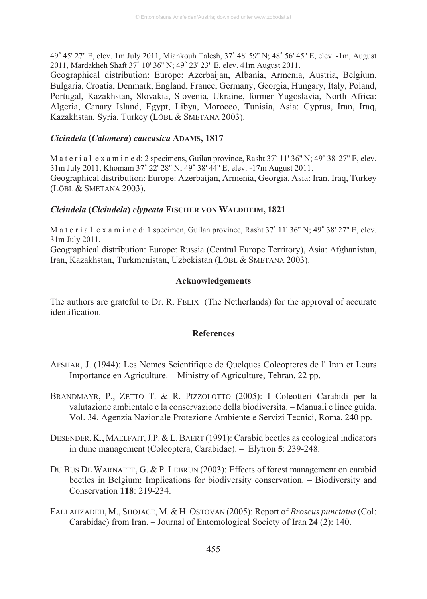49 45' 27'' E, elev. 1m July 2011, Miankouh Talesh, 37 48' 59'' N; 48 56' 45'' E, elev. -1m, August 2011, Mardakheh Shaft 37° 10' 36" N; 49° 23' 23" E, elev. 41m August 2011.

Geographical distribution: Europe: Azerbaijan, Albania, Armenia, Austria, Belgium, Bulgaria, Croatia, Denmark, England, France, Germany, Georgia, Hungary, Italy, Poland, Portugal, Kazakhstan, Slovakia, Slovenia, Ukraine, former Yugoslavia, North Africa: Algeria, Canary Island, Egypt, Libya, Morocco, Tunisia, Asia: Cyprus, Iran, Iraq, Kazakhstan, Syria, Turkey (LÖBL & SMETANA 2003).

#### *Cicindela* **(***Calomera***)** *caucasica* **ADAMS, 1817**

M a t e r i a l e x a m i n e d: 2 specimens, Guilan province, Rasht 37° 11' 36" N; 49° 38' 27" E, elev. 31m July 2011, Khomam 37 22' 28'' N; 49 38' 44'' E, elev. -17m August 2011. Geographical distribution: Europe: Azerbaijan, Armenia, Georgia, Asia: Iran, Iraq, Turkey (LÖBL & SMETANA 2003).

#### *Cicindela* **(***Cicindela***)** *clypeata* **FISCHER VON WALDHEIM, 1821**

M a t e r i a l e x a m i n e d: 1 specimen, Guilan province, Rasht 37° 11' 36" N; 49° 38' 27" E, elev. 31m July 2011.

Geographical distribution: Europe: Russia (Central Europe Territory), Asia: Afghanistan, Iran, Kazakhstan, Turkmenistan, Uzbekistan (LÖBL & SMETANA 2003).

# **Acknowledgements**

The authors are grateful to Dr. R. FELIX (The Netherlands) for the approval of accurate identification.

# **References**

- AFSHAR, J. (1944): Les Nomes Scientifique de Quelques Coleopteres de l' Iran et Leurs Importance en Agriculture. – Ministry of Agriculture, Tehran. 22 pp.
- BRANDMAYR, P., ZETTO T. & R. PIZZOLOTTO (2005): I Coleotteri Carabidi per la valutazione ambientale e la conservazione della biodiversita. – Manuali e linee guida. Vol. 34. Agenzia Nazionale Protezione Ambiente e Servizi Tecnici, Roma. 240 pp.
- DESENDER, K., MAELFAIT,J.P. &L.BAERT (1991): Carabid beetles as ecological indicators in dune management (Coleoptera, Carabidae). – Elytron **5**: 239-248.
- DU BUS DE WARNAFFE, G. & P. LEBRUN (2003): Effects of forest management on carabid beetles in Belgium: Implications for biodiversity conservation. – Biodiversity and Conservation **118**: 219-234.
- FALLAHZADEH, M., SHOJACE, M. & H. OSTOVAN (2005): Report of *Broscus punctatus* (Col: Carabidae) from Iran. – Journal of Entomological Society of Iran **24** (2): 140.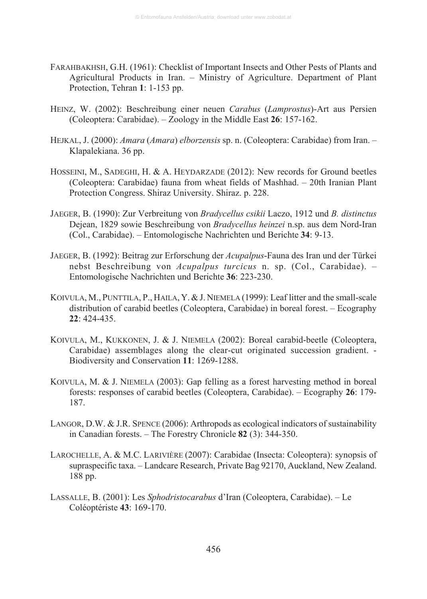- FARAHBAKHSH, G.H. (1961): Checklist of Important Insects and Other Pests of Plants and Agricultural Products in Iran. – Ministry of Agriculture. Department of Plant Protection, Tehran **1**: 1-153 pp.
- HEINZ, W. (2002): Beschreibung einer neuen *Carabus* (*Lamprostus*)-Art aus Persien (Coleoptera: Carabidae). – Zoology in the Middle East **26**: 157-162.
- HEJKAL, J. (2000): *Amara* (*Amara*) *elborzensis* sp. n. (Coleoptera: Carabidae) from Iran. Klapalekiana. 36 pp.
- HOSSEINI, M., SADEGHI, H. & A. HEYDARZADE (2012): New records for Ground beetles (Coleoptera: Carabidae) fauna from wheat fields of Mashhad. – 20th Iranian Plant Protection Congress. Shiraz University. Shiraz. p. 228.
- JAEGER, B. (1990): Zur Verbreitung von *Bradycellus csikii* Laczo, 1912 und *B. distinctus* Dejean, 1829 sowie Beschreibung von *Bradycellus heinzei* n.sp. aus dem Nord-Iran (Col., Carabidae). – Entomologische Nachrichten und Berichte **34**: 9-13.
- JAEGER, B. (1992): Beitrag zur Erforschung der *Acupalpus*-Fauna des Iran und der Türkei nebst Beschreibung von *Acupalpus turcicus* n. sp. (Col., Carabidae). – Entomologische Nachrichten und Berichte **36**: 223-230.
- KOIVULA, M., PUNTTILA, P., HAILA, Y.&J. NIEMELA (1999): Leaf litter and the small-scale distribution of carabid beetles (Coleoptera, Carabidae) in boreal forest. – Ecography **22**: 424-435.
- KOIVULA, M., KUKKONEN, J. & J. NIEMELA (2002): Boreal carabid-beetle (Coleoptera, Carabidae) assemblages along the clear-cut originated succession gradient. - Biodiversity and Conservation **11**: 1269-1288.
- KOIVULA, M. & J. NIEMELA (2003): Gap felling as a forest harvesting method in boreal forests: responses of carabid beetles (Coleoptera, Carabidae). – Ecography **26**: 179- 187.
- LANGOR, D.W. & J.R. SPENCE (2006): Arthropods as ecological indicators of sustainability in Canadian forests. – The Forestry Chronicle **82** (3): 344-350.
- LAROCHELLE, A. & M.C. LARIVIÈRE (2007): Carabidae (Insecta: Coleoptera): synopsis of supraspecific taxa. – Landcare Research, Private Bag 92170, Auckland, New Zealand. 188 pp.
- LASSALLE, B. (2001): Les *Sphodristocarabus* d'Iran (Coleoptera, Carabidae). Le Coléoptériste **43**: 169-170.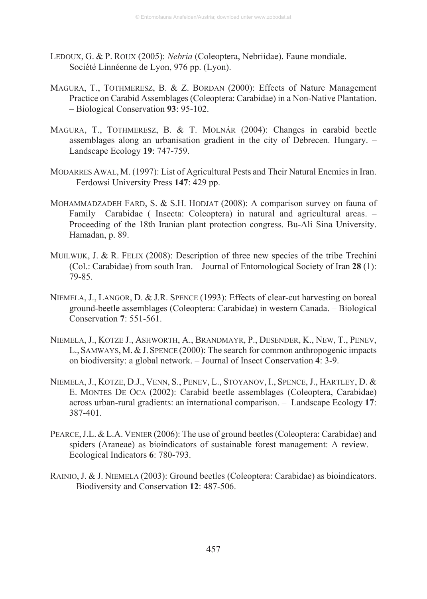- LEDOUX, G. & P. ROUX (2005): *Nebria* (Coleoptera, Nebriidae). Faune mondiale. Société Linnéenne de Lyon, 976 pp. (Lyon).
- MAGURA, T., TOTHMERESZ, B. & Z. BORDAN (2000): Effects of Nature Management Practice on Carabid Assemblages (Coleoptera: Carabidae) in a Non-Native Plantation. – Biological Conservation **93**: 95-102.
- MAGURA, T., TOTHMERESZ, B. & T. MOLNÁR (2004): Changes in carabid beetle assemblages along an urbanisation gradient in the city of Debrecen. Hungary. – Landscape Ecology **19**: 747-759.
- MODARRES AWAL, M. (1997): List of Agricultural Pests and Their Natural Enemies in Iran. – Ferdowsi University Press **147**: 429 pp.
- MOHAMMADZADEH FARD, S. & S.H. HODJAT (2008): A comparison survey on fauna of Family Carabidae (Insecta: Coleoptera) in natural and agricultural areas. -Proceeding of the 18th Iranian plant protection congress. Bu-Ali Sina University. Hamadan, p. 89.
- MUILWIJK, J. & R. FELIX (2008): Description of three new species of the tribe Trechini (Col.: Carabidae) from south Iran. – Journal of Entomological Society of Iran **28** (1): 79-85.
- NIEMELA, J., LANGOR, D. & J.R. SPENCE (1993): Effects of clear-cut harvesting on boreal ground-beetle assemblages (Coleoptera: Carabidae) in western Canada. – Biological Conservation **7**: 551-561.
- NIEMELA, J., KOTZE J., ASHWORTH, A., BRANDMAYR, P., DESENDER, K., NEW, T., PENEV, L., SAMWAYS, M.&J. SPENCE (2000): The search for common anthropogenic impacts on biodiversity: a global network. – Journal of Insect Conservation **4**: 3-9.
- NIEMELA, J., KOTZE, D.J., VENN, S., PENEV, L., STOYANOV, I., SPENCE,J., HARTLEY, D. & E. MONTES DE OCA (2002): Carabid beetle assemblages (Coleoptera, Carabidae) across urban-rural gradients: an international comparison. – Landscape Ecology **17**: 387-401.
- PEARCE,J.L.&L.A. VENIER (2006): The use of ground beetles (Coleoptera: Carabidae) and spiders (Araneae) as bioindicators of sustainable forest management: A review. – Ecological Indicators **6**: 780-793.
- RAINIO, J. & J. NIEMELA (2003): Ground beetles (Coleoptera: Carabidae) as bioindicators. – Biodiversity and Conservation **12**: 487-506.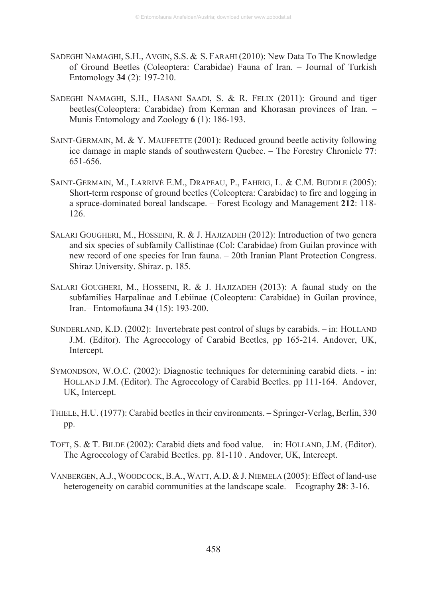- SADEGHI NAMAGHI, S.H., AVGIN, S.S. & S. FARAHI (2010): New Data To The Knowledge of Ground Beetles (Coleoptera: Carabidae) Fauna of Iran. – Journal of Turkish Entomology **34** (2): 197-210.
- SADEGHI NAMAGHI, S.H., HASANI SAADI, S. & R. FELIX (2011): Ground and tiger beetles(Coleoptera: Carabidae) from Kerman and Khorasan provinces of Iran. – Munis Entomology and Zoology **6** (1): 186-193.
- SAINT-GERMAIN, M. & Y. MAUFFETTE (2001): Reduced ground beetle activity following ice damage in maple stands of southwestern Quebec. – The Forestry Chronicle **77**: 651-656.
- SAINT-GERMAIN, M., LARRIVÉ E.M., DRAPEAU, P., FAHRIG, L. & C.M. BUDDLE (2005): Short-term response of ground beetles (Coleoptera: Carabidae) to fire and logging in a spruce-dominated boreal landscape. – Forest Ecology and Management **212**: 118- 126.
- SALARI GOUGHERI, M., HOSSEINI, R. & J. HAJIZADEH (2012): Introduction of two genera and six species of subfamily Callistinae (Col: Carabidae) from Guilan province with new record of one species for Iran fauna. – 20th Iranian Plant Protection Congress. Shiraz University. Shiraz. p. 185.
- SALARI GOUGHERI, M., HOSSEINI, R. & J. HAJIZADEH (2013): A faunal study on the subfamilies Harpalinae and Lebiinae (Coleoptera: Carabidae) in Guilan province, Iran.– Entomofauna **34** (15): 193-200.
- SUNDERLAND, K.D. (2002): Invertebrate pest control of slugs by carabids. in: HOLLAND J.M. (Editor). The Agroecology of Carabid Beetles, pp 165-214. Andover, UK, Intercept.
- SYMONDSON, W.O.C. (2002): Diagnostic techniques for determining carabid diets. in: HOLLAND J.M. (Editor). The Agroecology of Carabid Beetles. pp 111-164. Andover, UK, Intercept.
- THIELE, H.U. (1977): Carabid beetles in their environments. Springer-Verlag, Berlin, 330 pp.
- TOFT, S. & T. BILDE (2002): Carabid diets and food value. in: HOLLAND, J.M. (Editor). The Agroecology of Carabid Beetles. pp. 81-110 . Andover, UK, Intercept.
- VANBERGEN, A.J.,WOODCOCK,B.A., WATT, A.D. & J. NIEMELA (2005): Effect of land-use heterogeneity on carabid communities at the landscape scale. – Ecography **28**: 3-16.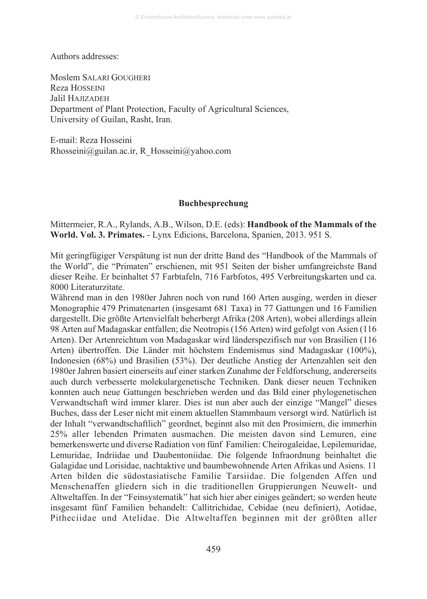Authors addresses:

Moslem SALARI GOUGHERI Reza HOSSEINI Jalil HAJIZADEH Department of Plant Protection, Faculty of Agricultural Sciences, University of Guilan, Rasht, Iran.

E-mail: Reza Hosseini Rhosseini@guilan.ac.ir, R\_Hosseini@yahoo.com

#### **Buchbesprechung**

Mittermeier, R.A., Rylands, A.B., Wilson, D.E. (eds): **Handbook of the Mammals of the World. Vol. 3. Primates.** - Lynx Edicions, Barcelona, Spanien, 2013. 951 S.

Mit geringfügiger Verspätung ist nun der dritte Band des "Handbook of the Mammals of the World", die "Primaten" erschienen, mit 951 Seiten der bisher umfangreichste Band dieser Reihe. Er beinhaltet 57 Farbtafeln, 716 Farbfotos, 495 Verbreitungskarten und ca. 8000 Literaturzitate.

Während man in den 1980er Jahren noch von rund 160 Arten ausging, werden in dieser Monographie 479 Primatenarten (insgesamt 681 Taxa) in 77 Gattungen und 16 Familien dargestellt. Die größte Artenvielfalt beherbergt Afrika (208 Arten), wobei allerdings allein 98 Arten auf Madagaskar entfallen; die Neotropis (156 Arten) wird gefolgt von Asien (116 Arten). Der Artenreichtum von Madagaskar wird länderspezifisch nur von Brasilien (116 Arten) übertroffen. Die Länder mit höchstem Endemismus sind Madagaskar (100%), Indonesien (68%) und Brasilien (53%). Der deutliche Anstieg der Artenzahlen seit den 1980er Jahren basiert einerseits auf einer starken Zunahme der Feldforschung, andererseits auch durch verbesserte molekulargenetische Techniken. Dank dieser neuen Techniken konnten auch neue Gattungen beschrieben werden und das Bild einer phylogenetischen Verwandtschaft wird immer klarer. Dies ist nun aber auch der einzige "Mangel" dieses Buches, dass der Leser nicht mit einem aktuellen Stammbaum versorgt wird. Natürlich ist der Inhalt "verwandtschaftlich" geordnet, beginnt also mit den Prosimiern, die immerhin 25% aller lebenden Primaten ausmachen. Die meisten davon sind Lemuren, eine bemerkenswerte und diverse Radiation von fünf Familien: Cheirogaleidae, Lepilemuridae, Lemuridae, Indriidae und Daubentoniidae. Die folgende Infraordnung beinhaltet die Galagidae und Lorisidae, nachtaktive und baumbewohnende Arten Afrikas und Asiens. 11 Arten bilden die südostasiatische Familie Tarsiidae. Die folgenden Affen und Menschenaffen gliedern sich in die traditionellen Gruppierungen Neuwelt- und Altweltaffen. In der "Feinsystematik" hat sich hier aber einiges geändert; so werden heute insgesamt fünf Familien behandelt: Callitrichidae, Cebidae (neu definiert), Aotidae, Pitheciidae und Atelidae. Die Altweltaffen beginnen mit der größten aller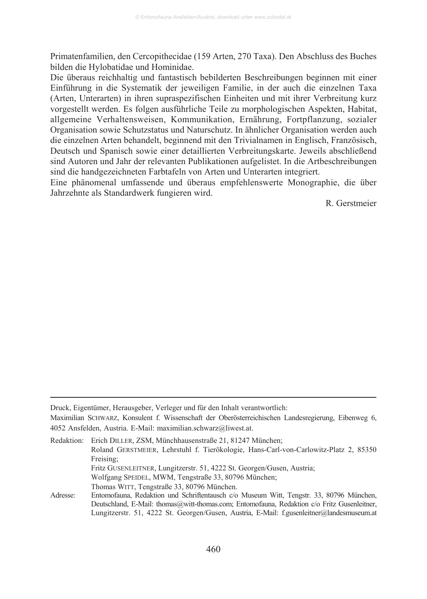Primatenfamilien, den Cercopithecidae (159 Arten, 270 Taxa). Den Abschluss des Buches bilden die Hylobatidae und Hominidae.

Die überaus reichhaltig und fantastisch bebilderten Beschreibungen beginnen mit einer Einführung in die Systematik der jeweiligen Familie, in der auch die einzelnen Taxa (Arten, Unterarten) in ihren supraspezifischen Einheiten und mit ihrer Verbreitung kurz vorgestellt werden. Es folgen ausführliche Teile zu morphologischen Aspekten, Habitat, allgemeine Verhaltensweisen, Kommunikation, Ernährung, Fortpflanzung, sozialer Organisation sowie Schutzstatus und Naturschutz. In ähnlicher Organisation werden auch die einzelnen Arten behandelt, beginnend mit den Trivialnamen in Englisch, Französisch, Deutsch und Spanisch sowie einer detaillierten Verbreitungskarte. Jeweils abschließend sind Autoren und Jahr der relevanten Publikationen aufgelistet. In die Artbeschreibungen sind die handgezeichneten Farbtafeln von Arten und Unterarten integriert.

Eine phänomenal umfassende und überaus empfehlenswerte Monographie, die über Jahrzehnte als Standardwerk fungieren wird.

R. Gerstmeier

Druck, Eigentümer, Herausgeber, Verleger und für den Inhalt verantwortlich:

Maximilian SCHWARZ, Konsulent f. Wissenschaft der Oberösterreichischen Landesregierung, Eibenweg 6, 4052 Ansfelden, Austria. E-Mail: maximilian.schwarz@liwest.at.

Redaktion: Erich DILLER, ZSM, Münchhausenstraße 21, 81247 München; Roland GERSTMEIER, Lehrstuhl f. Tierökologie, Hans-Carl-von-Carlowitz-Platz 2, 85350 Freising; Fritz GUSENLEITNER, Lungitzerstr. 51, 4222 St. Georgen/Gusen, Austria; Wolfgang SPEIDEL, MWM, Tengstraße 33, 80796 München; Thomas WITT, Tengstraße 33, 80796 München. Adresse: Entomofauna, Redaktion und Schriftentausch c/o Museum Witt, Tengstr. 33, 80796 München, Deutschland, E-Mail: thomas@witt-thomas.com; Entomofauna, Redaktion c/o Fritz Gusenleitner, Lungitzerstr. 51, 4222 St. Georgen/Gusen, Austria, E-Mail: f.gusenleitner@landesmuseum.at